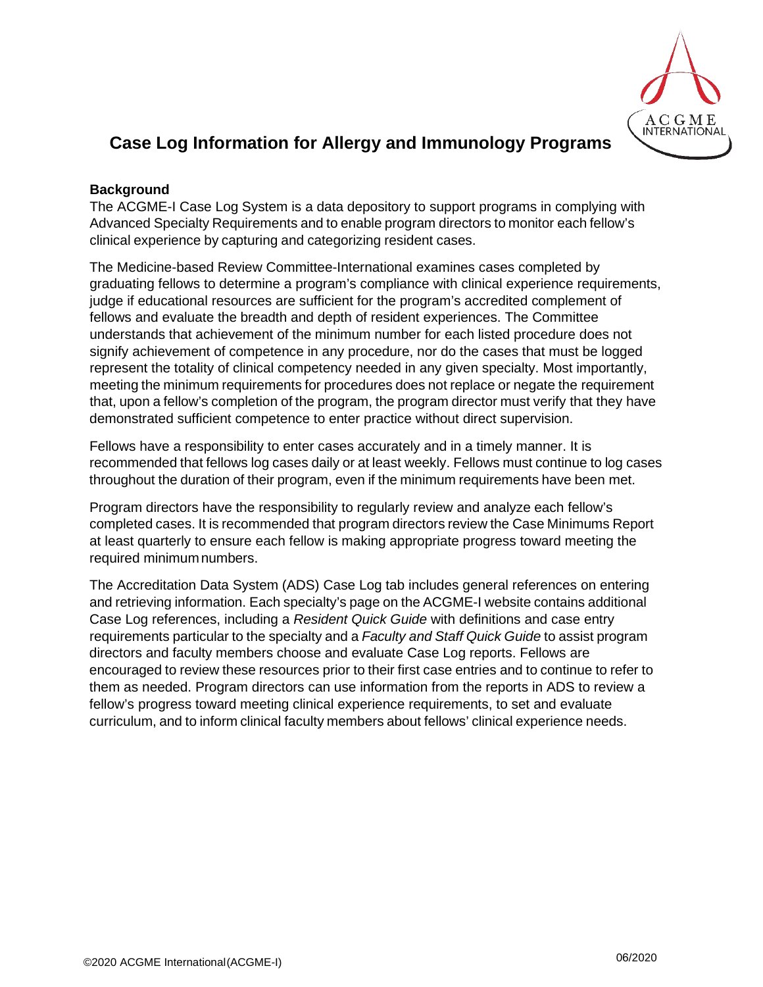

# **Case Log Information for Allergy and Immunology Programs**

## **Background**

The ACGME-I Case Log System is a data depository to support programs in complying with Advanced Specialty Requirements and to enable program directors to monitor each fellow's clinical experience by capturing and categorizing resident cases.

The Medicine-based Review Committee-International examines cases completed by graduating fellows to determine a program's compliance with clinical experience requirements, judge if educational resources are sufficient for the program's accredited complement of fellows and evaluate the breadth and depth of resident experiences. The Committee understands that achievement of the minimum number for each listed procedure does not signify achievement of competence in any procedure, nor do the cases that must be logged represent the totality of clinical competency needed in any given specialty. Most importantly, meeting the minimum requirements for procedures does not replace or negate the requirement that, upon a fellow's completion of the program, the program director must verify that they have demonstrated sufficient competence to enter practice without direct supervision.

Fellows have a responsibility to enter cases accurately and in a timely manner. It is recommended that fellows log cases daily or at least weekly. Fellows must continue to log cases throughout the duration of their program, even if the minimum requirements have been met.

Program directors have the responsibility to regularly review and analyze each fellow's completed cases. It is recommended that program directors review the Case Minimums Report at least quarterly to ensure each fellow is making appropriate progress toward meeting the required minimum numbers.

The Accreditation Data System (ADS) Case Log tab includes general references on entering and retrieving information. Each specialty's page on the ACGME-I website contains additional Case Log references, including a *Resident Quick Guide* with definitions and case entry requirements particular to the specialty and a *Faculty and Staff Quick Guide* to assist program directors and faculty members choose and evaluate Case Log reports. Fellows are encouraged to review these resources prior to their first case entries and to continue to refer to them as needed. Program directors can use information from the reports in ADS to review a fellow's progress toward meeting clinical experience requirements, to set and evaluate curriculum, and to inform clinical faculty members about fellows' clinical experience needs.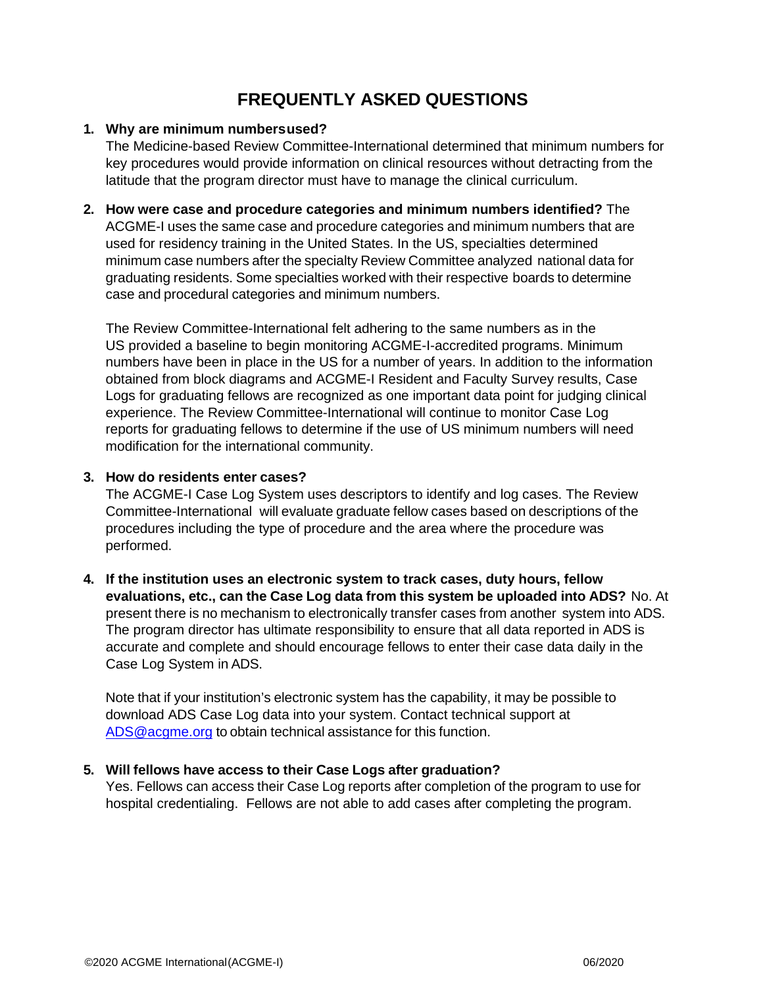## **FREQUENTLY ASKED QUESTIONS**

## **1. Why are minimum numbersused?**

The Medicine-based Review Committee-International determined that minimum numbers for key procedures would provide information on clinical resources without detracting from the latitude that the program director must have to manage the clinical curriculum.

**2. How were case and procedure categories and minimum numbers identified?** The ACGME-I uses the same case and procedure categories and minimum numbers that are used for residency training in the United States. In the US, specialties determined minimum case numbers after the specialty Review Committee analyzed national data for graduating residents. Some specialties worked with their respective boards to determine case and procedural categories and minimum numbers.

The Review Committee-International felt adhering to the same numbers as in the US provided a baseline to begin monitoring ACGME-I-accredited programs. Minimum numbers have been in place in the US for a number of years. In addition to the information obtained from block diagrams and ACGME-I Resident and Faculty Survey results, Case Logs for graduating fellows are recognized as one important data point for judging clinical experience. The Review Committee-International will continue to monitor Case Log reports for graduating fellows to determine if the use of US minimum numbers will need modification for the international community.

## **3. How do residents enter cases?**

The ACGME-I Case Log System uses descriptors to identify and log cases. The Review Committee-International will evaluate graduate fellow cases based on descriptions of the procedures including the type of procedure and the area where the procedure was performed.

**4. If the institution uses an electronic system to track cases, duty hours, fellow evaluations, etc., can the Case Log data from this system be uploaded into ADS?** No. At present there is no mechanism to electronically transfer cases from another system into ADS. The program director has ultimate responsibility to ensure that all data reported in ADS is accurate and complete and should encourage fellows to enter their case data daily in the Case Log System in ADS.

Note that if your institution's electronic system has the capability, it may be possible to download ADS Case Log data into your system. Contact technical support at [ADS@acgme.org](mailto:ADS@acgme.org) to obtain technical assistance for this function.

## **5. Will fellows have access to their Case Logs after graduation?**

Yes. Fellows can access their Case Log reports after completion of the program to use for hospital credentialing. Fellows are not able to add cases after completing the program.